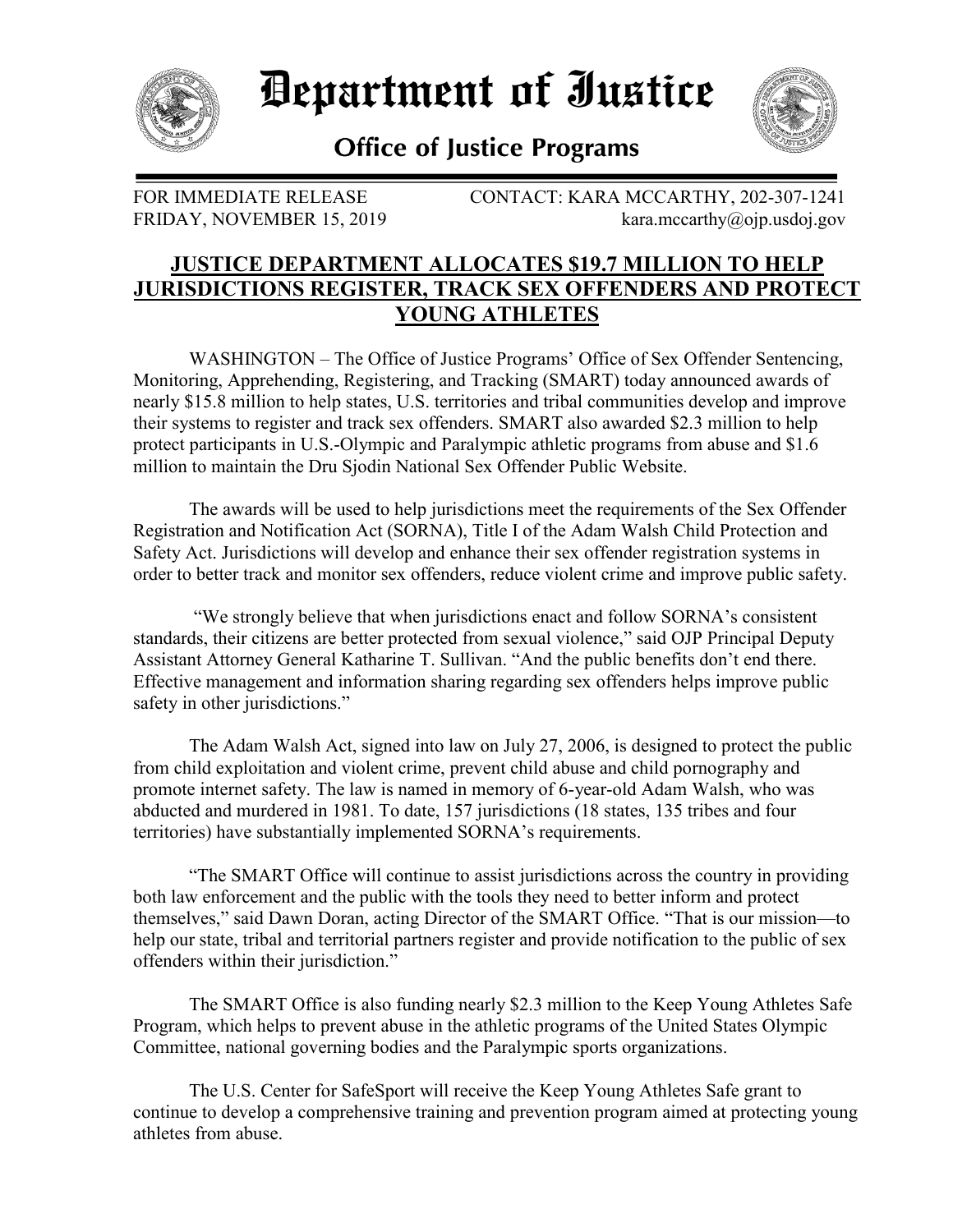

*Department of Iustice* 



## **Office of Justice Programs**

FOR IMMEDIATE RELEASE FRIDAY, NOVEMBER 15, 2019 CONTACT: KARA MCCARTHY, 202-307-1241 kara.mccarthy@ojp.usdoj.gov

## **JUSTICE DEPARTMENT ALLOCATES \$19.7 MILLION TO HELP JURISDICTIONS REGISTER, TRACK SEX OFFENDERS AND PROTECT YOUNG ATHLETES**

WASHINGTON – The Office of Justice Programs' Office of Sex Offender Sentencing, Monitoring, Apprehending, Registering, and Tracking (SMART) today announced awards of nearly \$15.8 million to help states, U.S. territories and tribal communities develop and improve their systems to register and track sex offenders. SMART also awarded \$2.3 million to help protect participants in U.S.-Olympic and Paralympic athletic programs from abuse and \$1.6 million to maintain the Dru Sjodin National Sex Offender Public Website.

The awards will be used to help jurisdictions meet the requirements of the Sex Offender Registration and Notification Act (SORNA), Title I of the Adam Walsh Child Protection and Safety Act. Jurisdictions will develop and enhance their sex offender registration systems in order to better track and monitor sex offenders, reduce violent crime and improve public safety.

 "We strongly believe that when jurisdictions enact and follow SORNA's consistent standards, their citizens are better protected from sexual violence," said OJP Principal Deputy Assistant Attorney General Katharine T. Sullivan. "And the public benefits don't end there. Effective management and information sharing regarding sex offenders helps improve public safety in other jurisdictions."

The Adam Walsh Act, signed into law on July 27, 2006, is designed to protect the public from child exploitation and violent crime, prevent child abuse and child pornography and promote internet safety. The law is named in memory of 6-year-old Adam Walsh, who was abducted and murdered in 1981. To date, 157 jurisdictions (18 states, 135 tribes and four territories) have substantially implemented SORNA's requirements.

"The SMART Office will continue to assist jurisdictions across the country in providing both law enforcement and the public with the tools they need to better inform and protect themselves," said Dawn Doran, acting Director of the SMART Office. "That is our mission—to help our state, tribal and territorial partners register and provide notification to the public of sex offenders within their jurisdiction."

The SMART Office is also funding nearly \$2.3 million to the Keep Young Athletes Safe Program, which helps to prevent abuse in the athletic programs of the United States Olympic Committee, national governing bodies and the Paralympic sports organizations.

The U.S. Center for SafeSport will receive the Keep Young Athletes Safe grant to continue to develop a comprehensive training and prevention program aimed at protecting young athletes from abuse.